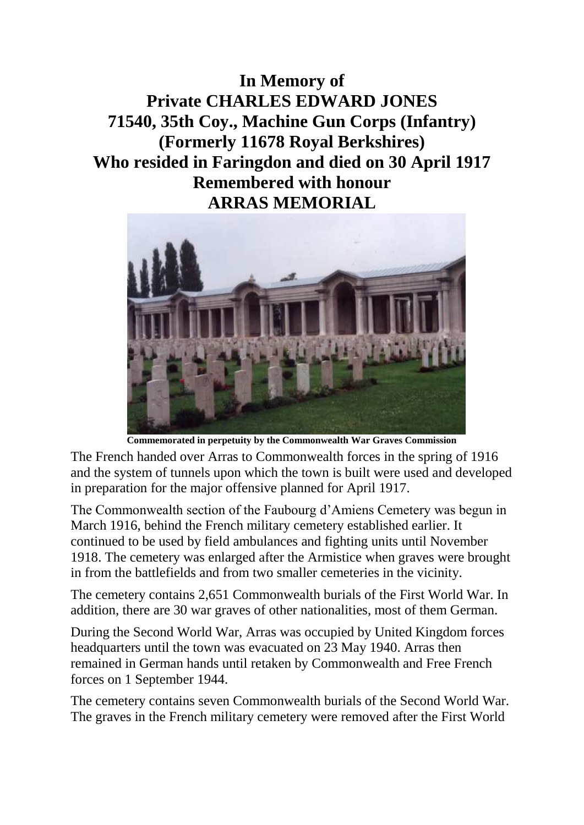**In Memory of Private CHARLES EDWARD JONES 71540, 35th Coy., Machine Gun Corps (Infantry) (Formerly 11678 Royal Berkshires) Who resided in Faringdon and died on 30 April 1917 Remembered with honour ARRAS MEMORIAL**



**Commemorated in perpetuity by the Commonwealth War Graves Commission** 

The French handed over Arras to Commonwealth forces in the spring of 1916 and the system of tunnels upon which the town is built were used and developed in preparation for the major offensive planned for April 1917.

The Commonwealth section of the Faubourg d'Amiens Cemetery was begun in March 1916, behind the French military cemetery established earlier. It continued to be used by field ambulances and fighting units until November 1918. The cemetery was enlarged after the Armistice when graves were brought in from the battlefields and from two smaller cemeteries in the vicinity.

The cemetery contains 2,651 Commonwealth burials of the First World War. In addition, there are 30 war graves of other nationalities, most of them German.

During the Second World War, Arras was occupied by United Kingdom forces headquarters until the town was evacuated on 23 May 1940. Arras then remained in German hands until retaken by Commonwealth and Free French forces on 1 September 1944.

The cemetery contains seven Commonwealth burials of the Second World War. The graves in the French military cemetery were removed after the First World